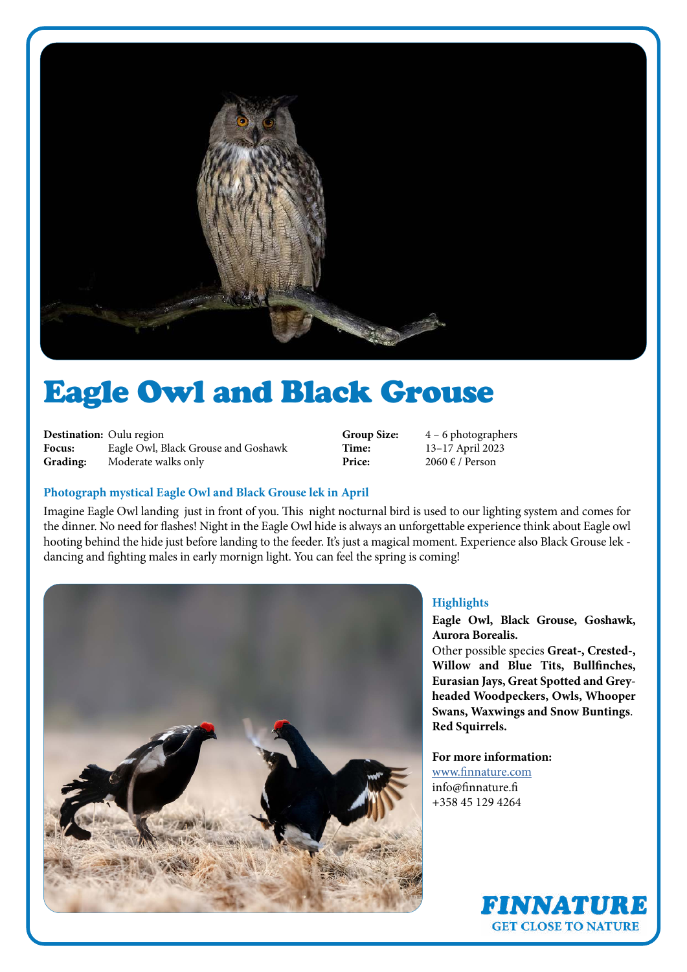

# Eagle Owl and Black Grouse

**Destination:** Oulu region **Focus:** Eagle Owl, Black Grouse and Goshawk **Grading:** Moderate walks only

**Group Size:** 4 – 6 photographers<br> **Time:** 13–17 April 2023 **Time:** 13–17 April 2023<br>**Price:** 2060 € / Person **Price:** 2060 € / Person

## **Photograph mystical Eagle Owl and Black Grouse lek in April**

Imagine Eagle Owl landing just in front of you. This night nocturnal bird is used to our lighting system and comes for the dinner. No need for flashes! Night in the Eagle Owl hide is always an unforgettable experience think about Eagle owl hooting behind the hide just before landing to the feeder. It's just a magical moment. Experience also Black Grouse lek dancing and fighting males in early mornign light. You can feel the spring is coming!



## **Highlights**

**Eagle Owl, Black Grouse, Goshawk, Aurora Borealis.**

Other possible species **Great-, Crested-, Willow and Blue Tits, Bullfinches, Eurasian Jays, Great Spotted and Greyheaded Woodpeckers, Owls, Whooper Swans, Waxwings and Snow Buntings**. **Red Squirrels.**

## **For more information:**

[www.finnature.com](http://www.finnature.com) info@finnature.fi +358 45 129 4264

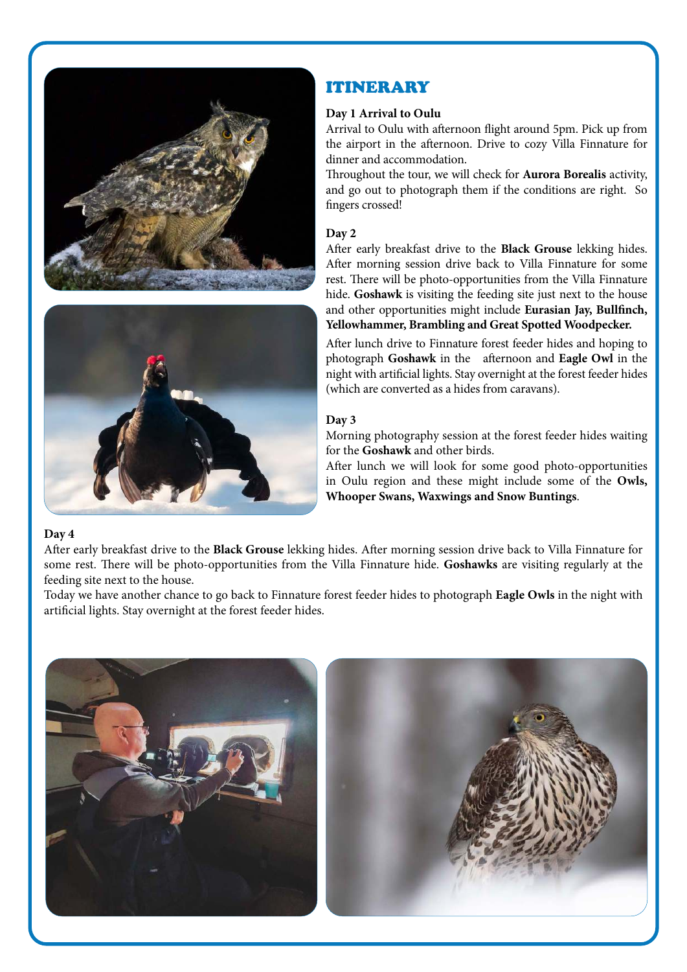



## ITINERARY

## **Day 1 Arrival to Oulu**

Arrival to Oulu with afternoon flight around 5pm. Pick up from the airport in the afternoon. Drive to cozy Villa Finnature for dinner and accommodation.

Throughout the tour, we will check for **Aurora Borealis** activity, and go out to photograph them if the conditions are right. So fingers crossed!

## **Day 2**

After early breakfast drive to the **Black Grouse** lekking hides. After morning session drive back to Villa Finnature for some rest. There will be photo-opportunities from the Villa Finnature hide. **Goshawk** is visiting the feeding site just next to the house and other opportunities might include **Eurasian Jay, Bullfinch, Yellowhammer, Brambling and Great Spotted Woodpecker.**

After lunch drive to Finnature forest feeder hides and hoping to photograph **Goshawk** in the afternoon and **Eagle Owl** in the night with artificial lights. Stay overnight at the forest feeder hides (which are converted as a hides from caravans).

## **Day 3**

Morning photography session at the forest feeder hides waiting for the **Goshawk** and other birds.

After lunch we will look for some good photo-opportunities in Oulu region and these might include some of the **Owls, Whooper Swans, Waxwings and Snow Buntings**.

## **Day 4**

After early breakfast drive to the **Black Grouse** lekking hides. After morning session drive back to Villa Finnature for some rest. There will be photo-opportunities from the Villa Finnature hide. **Goshawks** are visiting regularly at the feeding site next to the house.

Today we have another chance to go back to Finnature forest feeder hides to photograph **Eagle Owls** in the night with artificial lights. Stay overnight at the forest feeder hides.